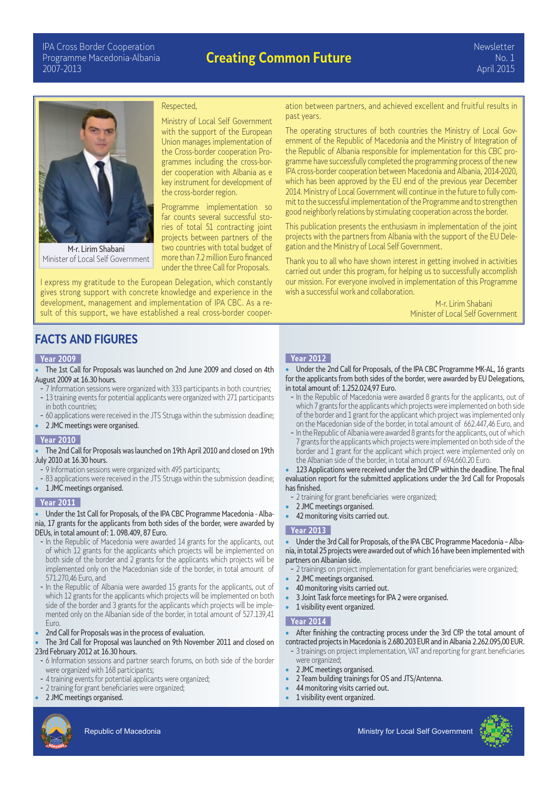# **Creating Common Future**



M-r. Lirim Shabani Minister of Local Self Government

#### Respected,

Ministry of Local Self Government with the support of the European Union manages implementation of the Cross-border cooperation Programmes including the cross-border cooperation with Albania as e key instrument for development of the cross-border region.

Programme implementation so far counts several successful stories of total 51 contracting joint projects between partners of the two countries with total budget of more than 7.2 million Euro financed under the three Call for Proposals.

I express my gratitude to the European Delegation, which constantly gives strong support with concrete knowledge and experience in the development, management and implementation of IPA CBC. As a result of this support, we have established a real cross-border cooper-

ation between partners, and achieved excellent and fruitful results in past years.

The operating structures of both countries the Ministry of Local Government of the Republic of Macedonia and the Ministry of Integration of the Republic of Albania responsible for implementation for this CBC programme have successfully completed the programming process of the new IPA cross-border cooperation between Macedonia and Albania, 2014-2020, which has been approved by the EU end of the previous year December 2014. Ministry of Local Government will continue in the future to fully commit to the successful implementation of the Programme and to strengthen good neighborly relations by stimulating cooperation across the border.

This publication presents the enthusiasm in implementation of the joint projects with the partners from Albania with the support of the EU Delegation and the Ministry of Local Self Government.

Thank you to all who have shown interest in getting involved in activities carried out under this program, for helping us to successfully accomplish our mission. For everyone involved in implementation of this Programme wish a successful work and collaboration.

> M-r. Lirim Shabani Minister of Local Self Government

# **FACTS AND FIGURES**

## **Year 2009**

- The 1st Call for Proposals was launched on 2nd June 2009 and closed on 4th August 2009 at 16.30 hours.
- 7 Information sessions were organized with 333 participants in both countries; - 13 training events for potential applicants were organized with 271 participants in both countries;
- 60 applications were received in the JTS Struga within the submission deadline;
- 2 JMC meetings were organised.

#### **Year 2010**

#### • The 2nd Call for Proposals was launched on 19th April 2010 and closed on 19th July 2010 at 16.30 hours.

- 9 Information sessions were organized with 495 participants;
- 83 applications were received in the JTS Struga within the submission deadline;
- 1 JMC meetings organised.

#### **Year 2011**

#### • Under the 1st Call for Proposals, of the IPA CBC Programme Macedonia - Albania, 17 grants for the applicants from both sides of the border, were awarded by DEUs, in total amount of: 1. 098.409, 87 Euro.

- In the Republic of Macedonia were awarded 14 grants for the applicants, out of which 12 grants for the applicants which projects will be implemented on both side of the border and 2 grants for the applicants which projects will be implemented only on the Macedonian side of the border, in total amount of 571.270,46 Euro, and
- In the Republic of Albania were awarded 15 grants for the applicants, out of which 12 grants for the applicants which projects will be implemented on both side of the border and 3 grants for the applicants which projects will be implemented only on the Albanian side of the border, in total amount of 527.139,41 Euro.
- 2nd Call for Proposals was in the process of evaluation.

The 3rd Call for Proposal was launched on 9th November 2011 and closed on 23rd February 2012 at 16.30 hours.

- 6 Information sessions and partner search forums, on both side of the border were organized with 168 participants;
- 4 training events for potential applicants were organized;
- 2 training for grant beneficiaries were organized;
- 2 JMC meetings organised.

### **Year 2012**

• Under the 2nd Call for Proposals, of the IPA CBC Programme MK-AL, 16 grants for the applicants from both sides of the border, were awarded by EU Delegations, in total amount of: 1.252.024,97 Euro.

- In the Republic of Macedonia were awarded 8 grants for the applicants, out of which 7 grants for the applicants which projects were implemented on both side of the border and 1 grant for the applicant which project was implemented only on the Macedonian side of the border, in total amount of 662.447,46 Euro, and
- In the Republic of Albania were awarded 8 grants for the applicants, out of which 7 grants for the applicants which projects were implemented on both side of the border and 1 grant for the applicant which project were implemented only on the Albanian side of the border, in total amount of 694,660.20 Euro.

• 123 Applications were received under the 3rd CfP within the deadline. The final evaluation report for the submitted applications under the 3rd Call for Proposals has finished.

- 2 training for grant beneficiaries were organized;
- 2 JMC meetings organised.
- 42 monitoring visits carried out.

## **Year 2013**

• Under the 3rd Call for Proposals, of the IPA CBC Programme Macedonia – Albania, in total 25 projects were awarded out of which 16 have been implemented with partners on Albanian side.

- 2 trainings on project implementation for grant beneficiaries were organized;
- 2 JMC meetings organised.
- 40 monitoring visits carried out.
- 3 Joint Task force meetings for IPA 2 were organised.
- **1** visibility event organized.

#### **Year 2014**

After finishing the contracting process under the 3rd CfP the total amount of contracted projects in Macedonia is 2.680.203 EUR and in Albania 2.262.095,00 EUR.

- 3 trainings on project implementation, VAT and reporting for grant beneficiaries were organized;
- 2 JMC meetings organised.
	- 2 Team building trainings for OS and JTS/Antenna.
	- 44 monitoring visits carried out.
	- 1 visibility event organized.

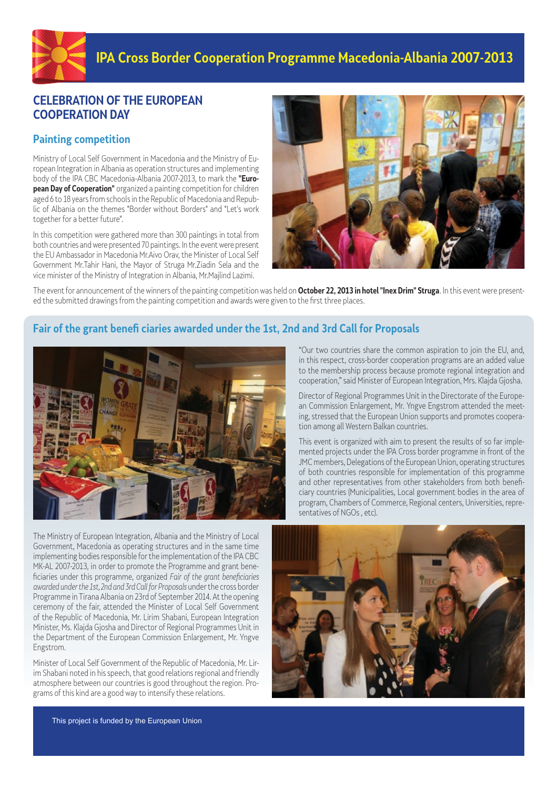

# **CELEBRATION OF THE EUROPEAN COOPERATION DAY**

# **Painting competition**

Ministry of Local Self Government in Macedonia and the Ministry of European Integration in Albania as operation structures and implementing body of the IPA CBC Macedonia-Albania 2007-2013, to mark the **"European Day of Cooperation"** organized a painting competition for children aged 6 to 18 years from schools in the Republic of Macedonia and Republic of Albania on the themes "Border without Borders" and "Let's work together for a better future".

In this competition were gathered more than 300 paintings in total from both countries and were presented 70 paintings. In the event were present the EU Ambassador in Macedonia Mr.Aivo Orav, the Minister of Local Self Government Mr.Tahir Hani, the Mayor of Struga Mr.Ziadin Sela and the vice minister of the Ministry of Integration in Albania, Mr.Majlind Lazimi.



The event for announcement of the winners of the painting competition was held on **October 22, 2013 in hotel "Inex Drim" Struga**. In this event were presented the submitted drawings from the painting competition and awards were given to the first three places.

# **Fair of the grant benefi ciaries awarded under the 1st, 2nd and 3rd Call for Proposals**



The Ministry of European Integration, Albania and the Ministry of Local Government, Macedonia as operating structures and in the same time implementing bodies responsible for the implementation of the IPA CBC MK-AL 2007-2013, in order to promote the Programme and grant beneficiaries under this programme, organized Fair of the grant beneficiaries awarded under the 1st, 2nd and 3rd Call for Proposals under the cross border Programme in Tirana Albania on 23rd of September 2014. At the opening ceremony of the fair, attended the Minister of Local Self Government of the Republic of Macedonia, Mr. Lirim Shabani, European Integration Minister, Ms. Klajda Gjosha and Director of Regional Programmes Unit in the Department of the European Commission Enlargement, Mr. Yngve Engstrom.

Minister of Local Self Government of the Republic of Macedonia, Mr. Lirim Shabani noted in his speech, that good relations regional and friendly atmosphere between our countries is good throughout the region. Programs of this kind are a good way to intensify these relations.

"Our two countries share the common aspiration to join the EU, and, in this respect, cross-border cooperation programs are an added value to the membership process because promote regional integration and cooperation," said Minister of European Integration, Mrs. Klajda Gjosha.

Director of Regional Programmes Unit in the Directorate of the European Commission Enlargement, Mr. Yngve Engstrom attended the meeting, stressed that the European Union supports and promotes cooperation among all Western Balkan countries.

This event is organized with aim to present the results of so far implemented projects under the IPA Cross border programme in front of the JMC members, Delegations of the European Union, operating structures of both countries responsible for implementation of this programme and other representatives from other stakeholders from both beneficiary countries (Municipalities, Local government bodies in the area of program, Chambers of Commerce, Regional centers, Universities, representatives of NGOs , etc).



This project is funded by the European Union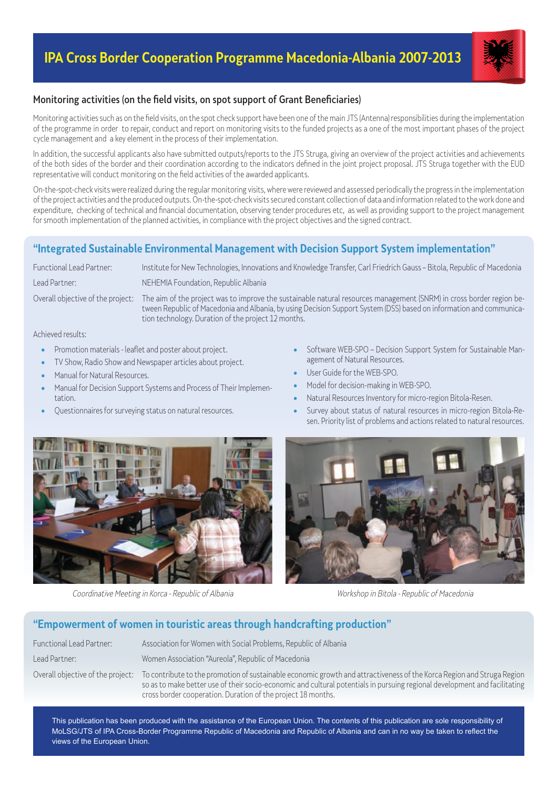# **IPA Cross Border Cooperation Programme Macedonia-Albania 2007-2013**



## Monitoring activities (on the field visits, on spot support of Grant Beneficiaries)

Monitoring activities such as on the field visits, on the spot check support have been one of the main JTS (Antenna) responsibilities during the implementation of the programme in order to repair, conduct and report on monitoring visits to the funded projects as a one of the most important phases of the project cycle management and a key element in the process of their implementation.

In addition, the successful applicants also have submitted outputs/reports to the JTS Struga, giving an overview of the project activities and achievements of the both sides of the border and their coordination according to the indicators defined in the joint project proposal. JTS Struga together with the EUD representative will conduct monitoring on the field activities of the awarded applicants.

On-the-spot-check visits were realized during the regular monitoring visits, where were reviewed and assessed periodically the progress in the implementation of the project activities and the produced outputs. On-the-spot-check visits secured constant collection of data and information related to the work done and expenditure, checking of technical and financial documentation, observing tender procedures etc, as well as providing support to the project management for smooth implementation of the planned activities, in compliance with the project objectives and the signed contract.

# **"Integrated Sustainable Environmental Management with Decision Support System implementation"**

Functional Lead Partner: Institute for New Technologies, Innovations and Knowledge Transfer, Carl Friedrich Gauss – Bitola, Republic of Macedonia

Lead Partner: NEHEMIA Foundation, Republic Albania

Overall objective of the project: The aim of the project was to improve the sustainable natural resources management (SNRM) in cross border region between Republic of Macedonia and Albania, by using Decision Support System (DSS) based on information and communication technology. Duration of the project 12 months.

Achieved results:

- Promotion materials leaflet and poster about project.
- TV Show, Radio Show and Newspaper articles about project.
- Manual for Natural Resources.
- Manual for Decision Support Systems and Process of Their Implementation.
- Questionnaires for surveying status on natural resources.
- Software WEB-SPO Decision Support System for Sustainable Management of Natural Resources.
- User Guide for the WEB-SPO.
- Model for decision-making in WEB-SPO.
- Natural Resources Inventory for micro-region Bitola-Resen.
- Survey about status of natural resources in micro-region Bitola-Resen. Priority list of problems and actions related to natural resources.



Coordinative Meeting in Korca - Republic of Albania Workshop in Bitola - Republic of Macedonia



# **"Empowerment of women in touristic areas through handcrafting production"**

| Functional Lead Partner: | Association for Women with Social Problems, Republic of Albania                                                                                                                                                                                                                                                                                        |
|--------------------------|--------------------------------------------------------------------------------------------------------------------------------------------------------------------------------------------------------------------------------------------------------------------------------------------------------------------------------------------------------|
| Lead Partner:            | Women Association "Aureola", Republic of Macedonia                                                                                                                                                                                                                                                                                                     |
|                          | Overall objective of the project: To contribute to the promotion of sustainable economic growth and attractiveness of the Korca Region and Struga Region<br>so as to make better use of their socio-economic and cultural potentials in pursuing regional development and facilitating<br>cross border cooperation. Duration of the project 18 months. |

This publication has been produced with the assistance of the European Union. The contents of this publication are sole responsibility of MoLSG/JTS of IPA Cross-Border Programme Republic of Macedonia and Republic of Albania and can in no way be taken to reflect the views of the European Union.